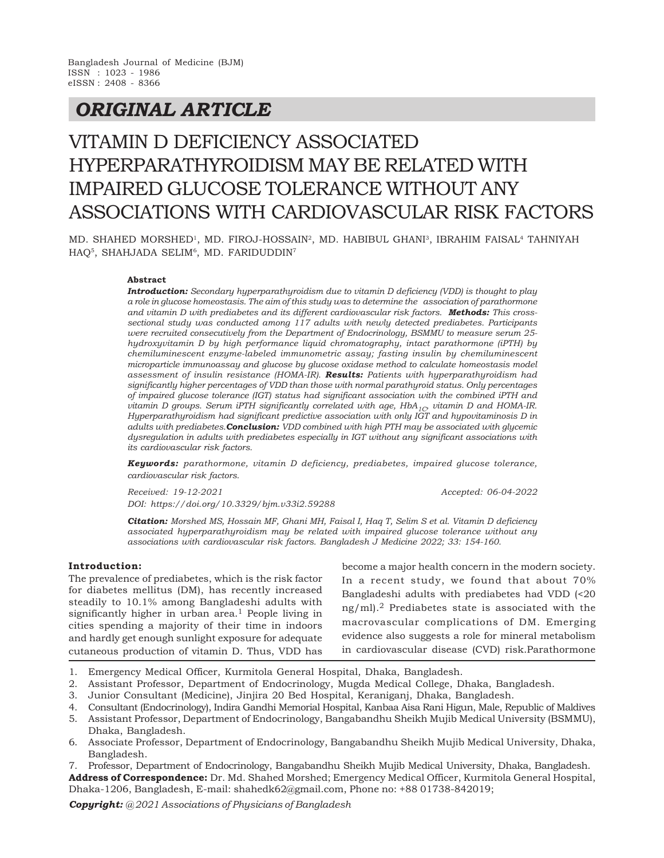## *ORIGINAL ARTICLE*

# VITAMIN D DEFICIENCY ASSOCIATED HYPERPARATHYROIDISM MAY BE RELATED WITH IMPAIRED GLUCOSE TOLERANCE WITHOUT ANY ASSOCIATIONS WITH CARDIOVASCULAR RISK FACTORS

MD. SHAHED MORSHED<sup>1</sup>, MD. FIROJ-HOSSAIN<sup>2</sup>, MD. HABIBUL GHANI<sup>3</sup>, IBRAHIM FAISAL<sup>4</sup> TAHNIYAH HAQ<sup>5</sup>, SHAHJADA SELIM<sup>6</sup>, MD. FARIDUDDIN<sup>7</sup>

#### **Abstract**

*Introduction: Secondary hyperparathyroidism due to vitamin D deficiency (VDD) is thought to play a role in glucose homeostasis. The aim of this study was to determine the association of parathormone and vitamin D with prediabetes and its different cardiovascular risk factors. Methods: This crosssectional study was conducted among 117 adults with newly detected prediabetes. Participants were recruited consecutively from the Department of Endocrinology, BSMMU to measure serum 25 hydroxyvitamin D by high performance liquid chromatography, intact parathormone (iPTH) by chemiluminescent enzyme-labeled immunometric assay; fasting insulin by chemiluminescent microparticle immunoassay and glucose by glucose oxidase method to calculate homeostasis model assessment of insulin resistance (HOMA-IR). Results: Patients with hyperparathyroidism had significantly higher percentages of VDD than those with normal parathyroid status. Only percentages of impaired glucose tolerance (IGT) status had significant association with the combined iPTH and vitamin D groups. Serum iPTH significantly correlated with age, HbA1C, vitamin D and HOMA-IR. Hyperparathyroidism had significant predictive association with only IGT and hypovitaminosis D in adults with prediabetes.Conclusion: VDD combined with high PTH may be associated with glycemic dysregulation in adults with prediabetes especially in IGT without any significant associations with its cardiovascular risk factors.*

*Keywords: parathormone, vitamin D deficiency, prediabetes, impaired glucose tolerance, cardiovascular risk factors.*

*Received: 19-12-2021 Accepted: 06-04-2022 DOI: https://doi.org/10.3329/bjm.v33i2.59288*

*Citation: Morshed MS, Hossain MF, Ghani MH, Faisal I, Haq T, Selim S et al. Vitamin D deficiency associated hyperparathyroidism may be related with impaired glucose tolerance without any associations with cardiovascular risk factors. Bangladesh J Medicine 2022; 33: 154-160.*

#### **Introduction:**

The prevalence of prediabetes, which is the risk factor for diabetes mellitus (DM), has recently increased steadily to 10.1% among Bangladeshi adults with significantly higher in urban area. $1$  People living in cities spending a majority of their time in indoors and hardly get enough sunlight exposure for adequate cutaneous production of vitamin D. Thus, VDD has

become a major health concern in the modern society. In a recent study, we found that about 70% Bangladeshi adults with prediabetes had VDD (<20  $ng/ml$ .<sup>2</sup> Prediabetes state is associated with the macrovascular complications of DM. Emerging evidence also suggests a role for mineral metabolism in cardiovascular disease (CVD) risk.Parathormone

- 1. Emergency Medical Officer, Kurmitola General Hospital, Dhaka, Bangladesh.
- 2. Assistant Professor, Department of Endocrinology, Mugda Medical College, Dhaka, Bangladesh.
- 3. Junior Consultant (Medicine), Jinjira 20 Bed Hospital, Keraniganj, Dhaka, Bangladesh.
- 4. Consultant (Endocrinology), Indira Gandhi Memorial Hospital, Kanbaa Aisa Rani Higun, Male, Republic of Maldives
- 5. Assistant Professor, Department of Endocrinology, Bangabandhu Sheikh Mujib Medical University (BSMMU), Dhaka, Bangladesh.
- 6. Associate Professor, Department of Endocrinology, Bangabandhu Sheikh Mujib Medical University, Dhaka, Bangladesh.

7. Professor, Department of Endocrinology, Bangabandhu Sheikh Mujib Medical University, Dhaka, Bangladesh. **Address of Correspondence:** Dr. Md. Shahed Morshed; Emergency Medical Officer, Kurmitola General Hospital, Dhaka-1206, Bangladesh, E-mail: shahedk62@gmail.com, Phone no: +88 01738-842019;

*Copyright: @ 2021 Associations of Physicians of Bangladesh*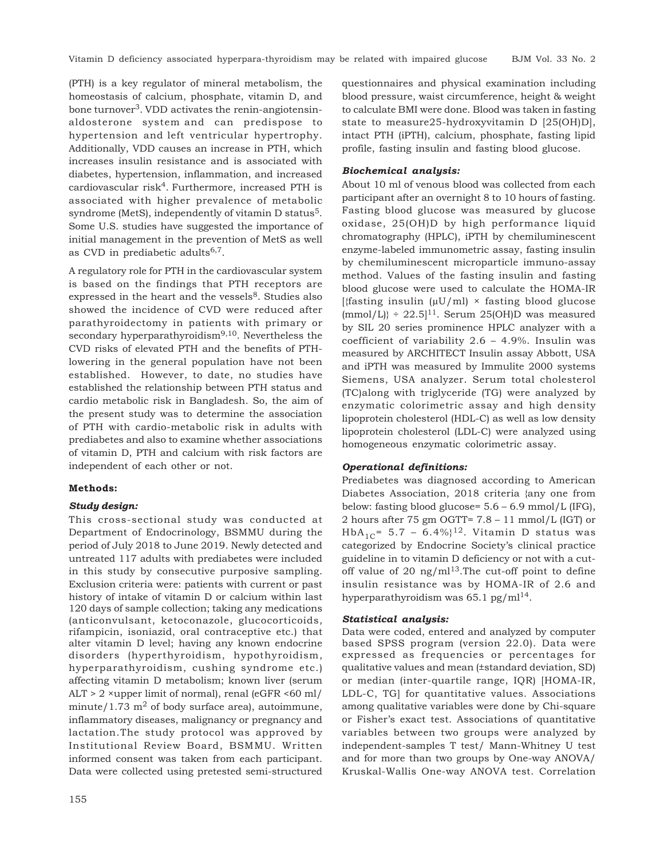(PTH) is a key regulator of mineral metabolism, the homeostasis of calcium, phosphate, vitamin D, and bone turnover<sup>3</sup>. VDD activates the renin-angiotensinaldosterone system and can predispose to hypertension and left ventricular hypertrophy. Additionally, VDD causes an increase in PTH, which increases insulin resistance and is associated with diabetes, hypertension, inflammation, and increased  $cardiovascular risk<sup>4</sup>. Furthermore, increased PTH is$ associated with higher prevalence of metabolic syndrome (MetS), independently of vitamin D status<sup>5</sup>. Some U.S. studies have suggested the importance of initial management in the prevention of MetS as well as CVD in prediabetic adults $6,7$ .

A regulatory role for PTH in the cardiovascular system is based on the findings that PTH receptors are expressed in the heart and the vessels<sup>8</sup>. Studies also showed the incidence of CVD were reduced after parathyroidectomy in patients with primary or secondary hyperparathyroidism<sup>9,10</sup>. Nevertheless the CVD risks of elevated PTH and the benefits of PTHlowering in the general population have not been established. However, to date, no studies have established the relationship between PTH status and cardio metabolic risk in Bangladesh. So, the aim of the present study was to determine the association of PTH with cardio-metabolic risk in adults with prediabetes and also to examine whether associations of vitamin D, PTH and calcium with risk factors are independent of each other or not.

## **Methods:**

## *Study design:*

This cross-sectional study was conducted at Department of Endocrinology, BSMMU during the period of July 2018 to June 2019. Newly detected and untreated 117 adults with prediabetes were included in this study by consecutive purposive sampling. Exclusion criteria were: patients with current or past history of intake of vitamin D or calcium within last 120 days of sample collection; taking any medications (anticonvulsant, ketoconazole, glucocorticoids, rifampicin, isoniazid, oral contraceptive etc.) that alter vitamin D level; having any known endocrine disorders (hyperthyroidism, hypothyroidism, hyperparathyroidism, cushing syndrome etc.) affecting vitamin D metabolism; known liver (serum ALT > 2 ×upper limit of normal), renal (eGFR <60 ml/ minute/1.73  $m<sup>2</sup>$  of body surface area), autoimmune, inflammatory diseases, malignancy or pregnancy and lactation.The study protocol was approved by Institutional Review Board, BSMMU. Written informed consent was taken from each participant. Data were collected using pretested semi-structured

155

questionnaires and physical examination including blood pressure, waist circumference, height & weight to calculate BMI were done. Blood was taken in fasting state to measure25-hydroxyvitamin D [25(OH)D], intact PTH (iPTH), calcium, phosphate, fasting lipid profile, fasting insulin and fasting blood glucose.

#### *Biochemical analysis:*

About 10 ml of venous blood was collected from each participant after an overnight 8 to 10 hours of fasting. Fasting blood glucose was measured by glucose oxidase, 25(OH)D by high performance liquid chromatography (HPLC), iPTH by chemiluminescent enzyme-labeled immunometric assay, fasting insulin by chemiluminescent microparticle immuno-assay method. Values of the fasting insulin and fasting blood glucose were used to calculate the HOMA-IR [{fasting insulin  $(\mu U/ml) \times$  fasting blood glucose]  $\text{[mmol/L]}$  ÷ 22.5]<sup>11</sup>. Serum 25(OH)D was measured by SIL 20 series prominence HPLC analyzer with a coefficient of variability 2.6 – 4.9%. Insulin was measured by ARCHITECT Insulin assay Abbott, USA and iPTH was measured by Immulite 2000 systems Siemens, USA analyzer. Serum total cholesterol (TC)along with triglyceride (TG) were analyzed by enzymatic colorimetric assay and high density lipoprotein cholesterol (HDL-C) as well as low density lipoprotein cholesterol (LDL-C) were analyzed using homogeneous enzymatic colorimetric assay.

#### *Operational definitions:*

Prediabetes was diagnosed according to American Diabetes Association, 2018 criteria {any one from below: fasting blood glucose= 5.6 – 6.9 mmol/L (IFG), 2 hours after 75 gm OGTT= 7.8 – 11 mmol/L (IGT) or HbA<sub>1C</sub>= 5.7 – 6.4%}<sup>12</sup>. Vitamin D status was categorized by Endocrine Society's clinical practice guideline in to vitamin D deficiency or not with a cutoff value of 20  $\text{ng/ml}^{13}$ . The cut-off point to define insulin resistance was by HOMA-IR of 2.6 and hyperparathyroidism was  $65.1 \text{ pg/ml}^{14}$ .

## *Statistical analysis:*

Data were coded, entered and analyzed by computer based SPSS program (version 22.0). Data were expressed as frequencies or percentages for qualitative values and mean (±standard deviation, SD) or median (inter-quartile range, IQR) [HOMA-IR, LDL-C, TG] for quantitative values. Associations among qualitative variables were done by Chi-square or Fisher's exact test. Associations of quantitative variables between two groups were analyzed by independent-samples T test/ Mann-Whitney U test and for more than two groups by One-way ANOVA/ Kruskal-Wallis One-way ANOVA test. Correlation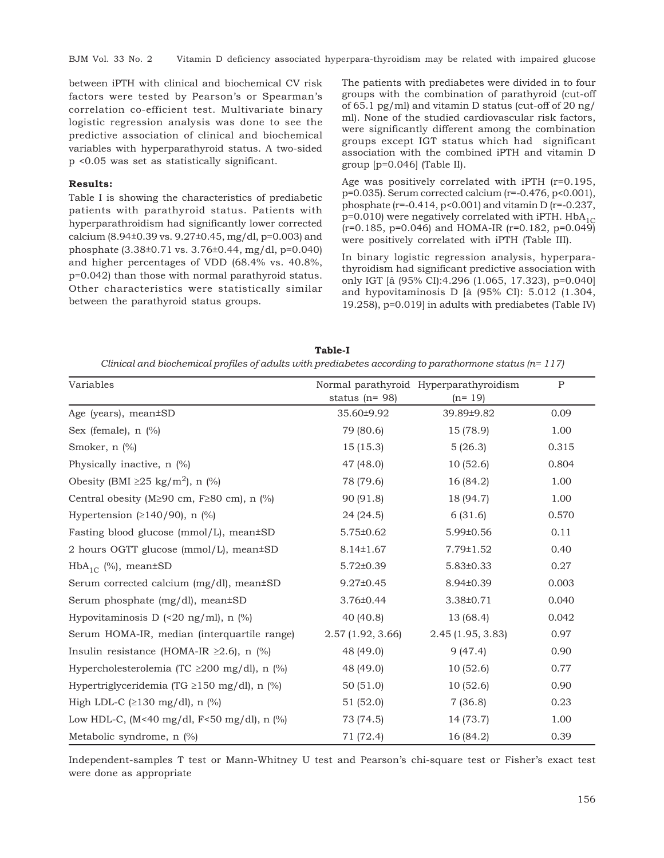BJM Vol. 33 No. 2 Vitamin D deficiency associated hyperpara-thyroidism may be related with impaired glucose

between iPTH with clinical and biochemical CV risk factors were tested by Pearson's or Spearman's correlation co-efficient test. Multivariate binary logistic regression analysis was done to see the predictive association of clinical and biochemical variables with hyperparathyroid status. A two-sided p <0.05 was set as statistically significant.

## **Results:**

Table I is showing the characteristics of prediabetic patients with parathyroid status. Patients with hyperparathroidism had significantly lower corrected calcium (8.94±0.39 vs. 9.27±0.45, mg/dl, p=0.003) and phosphate (3.38±0.71 vs. 3.76±0.44, mg/dl, p=0.040) and higher percentages of VDD (68.4% vs. 40.8%, p=0.042) than those with normal parathyroid status. Other characteristics were statistically similar between the parathyroid status groups.

The patients with prediabetes were divided in to four groups with the combination of parathyroid (cut-off of 65.1 pg/ml) and vitamin D status (cut-off of 20 ng/ ml). None of the studied cardiovascular risk factors, were significantly different among the combination groups except IGT status which had significant association with the combined iPTH and vitamin D group [p=0.046] (Table II).

Age was positively correlated with iPTH (r=0.195, p=0.035). Serum corrected calcium (r=-0.476, p<0.001), phosphate ( $r=-0.414$ ,  $p<0.001$ ) and vitamin D ( $r=-0.237$ ,  $p=0.010$ ) were negatively correlated with iPTH. HbA<sub>1C</sub>  $(r=0.185, p=0.046)$  and HOMA-IR  $(r=0.182, p=0.049)$ were positively correlated with iPTH (Table III).

In binary logistic regression analysis, hyperparathyroidism had significant predictive association with only IGT [â (95% CI):4.296 (1.065, 17.323), p=0.040] and hypovitaminosis D [â (95% CI): 5.012 (1.304, 19.258), p=0.019] in adults with prediabetes (Table IV)

| Table-I                                                                                                   |
|-----------------------------------------------------------------------------------------------------------|
| Clinical and biochemical profiles of adults with prediabetes according to parathormone status ( $n=117$ ) |

| Variables                                                      |                     | Normal parathyroid Hyperparathyroidism | $\mathbf{P}$ |
|----------------------------------------------------------------|---------------------|----------------------------------------|--------------|
|                                                                | status ( $n = 98$ ) | $(n=19)$                               |              |
| Age (years), mean±SD                                           | 35.60±9.92          | 39.89±9.82                             | 0.09         |
| Sex (female), $n$ (%)                                          | 79 (80.6)           | 15 (78.9)                              | 1.00         |
| Smoker, n (%)                                                  | 15(15.3)            | 5(26.3)                                | 0.315        |
| Physically inactive, n (%)                                     | 47 (48.0)           | 10(52.6)                               | 0.804        |
| Obesity (BMI $\geq$ 25 kg/m <sup>2</sup> ), n (%)              | 78 (79.6)           | 16 (84.2)                              | 1.00         |
| Central obesity (M $\geq$ 90 cm, F $\geq$ 80 cm), n (%)        | 90 (91.8)           | 18 (94.7)                              | 1.00         |
| Hypertension ( $\geq$ 140/90), n (%)                           | 24(24.5)            | 6(31.6)                                | 0.570        |
| Fasting blood glucose (mmol/L), mean±SD                        | $5.75 \pm 0.62$     | 5.99±0.56                              | 0.11         |
| 2 hours OGTT glucose (mmol/L), mean±SD                         | $8.14 \pm 1.67$     | 7.79±1.52                              | 0.40         |
| $HbA_{1}$ (%), mean $\pm$ SD                                   | $5.72 \pm 0.39$     | $5.83 \pm 0.33$                        | 0.27         |
| Serum corrected calcium (mg/dl), mean±SD                       | $9.27 \pm 0.45$     | 8.94±0.39                              | 0.003        |
| Serum phosphate (mg/dl), mean±SD                               | $3.76 \pm 0.44$     | 3.38±0.71                              | 0.040        |
| Hypovitaminosis D $\left($ <20 ng/ml $\right)$ , n $\left($ %) | 40 (40.8)           | 13 (68.4)                              | 0.042        |
| Serum HOMA-IR, median (interquartile range)                    | 2.57(1.92, 3.66)    | 2.45(1.95, 3.83)                       | 0.97         |
| Insulin resistance (HOMA-IR $\geq$ 2.6), n (%)                 | 48 (49.0)           | 9(47.4)                                | 0.90         |
| Hypercholesterolemia (TC $\geq$ 200 mg/dl), n (%)              | 48 (49.0)           | 10(52.6)                               | 0.77         |
| Hypertriglyceridemia (TG $\geq$ 150 mg/dl), n (%)              | 50(51.0)            | 10(52.6)                               | 0.90         |
| High LDL-C $(\geq 130 \text{ mg/dl})$ , n $(\%)$               | 51 (52.0)           | 7(36.8)                                | 0.23         |
| Low HDL-C, (M<40 mg/dl, F<50 mg/dl), n $\frac{1}{2}$           | 73 (74.5)           | 14 (73.7)                              | 1.00         |
| Metabolic syndrome, $n$ $%$                                    | 71 (72.4)           | 16 (84.2)                              | 0.39         |

Independent-samples T test or Mann-Whitney U test and Pearson's chi-square test or Fisher's exact test were done as appropriate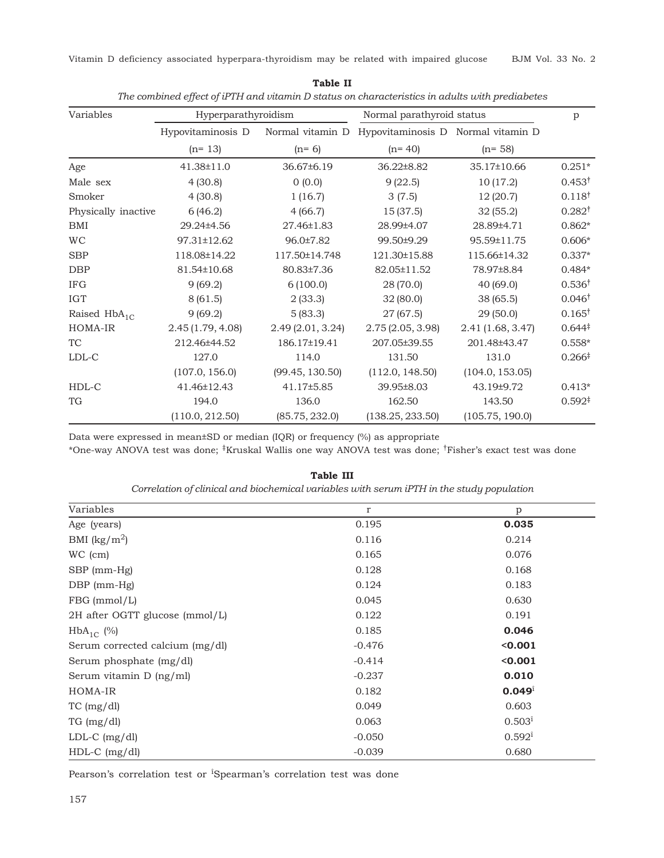Vitamin D deficiency associated hyperpara-thyroidism may be related with impaired glucose BJM Vol. 33 No. 2

| Variables           | Hyperparathyroidism |                  | Normal parathyroid status                           | p                 |                    |
|---------------------|---------------------|------------------|-----------------------------------------------------|-------------------|--------------------|
|                     | Hypovitaminosis D   |                  | Normal vitamin D Hypovitaminosis D Normal vitamin D |                   |                    |
|                     | $(n=13)$            | $(n=6)$          | $(n=40)$                                            | $(n=58)$          |                    |
| Age                 | 41.38±11.0          | 36.67±6.19       | 36.22±8.82                                          | 35.17±10.66       | $0.251*$           |
| Male sex            | 4(30.8)             | 0(0.0)           | 9(22.5)                                             | 10(17.2)          | $0.453^{\dagger}$  |
| Smoker              | 4(30.8)             | 1(16.7)          | 3(7.5)                                              | 12(20.7)          | $0.118^{\dagger}$  |
| Physically inactive | 6(46.2)             | 4(66.7)          | 15 (37.5)                                           | 32(55.2)          | $0.282^{\dagger}$  |
| BMI                 | 29.24±4.56          | 27.46±1.83       | 28.99±4.07                                          | 28.89±4.71        | $0.862*$           |
| <b>WC</b>           | 97.31±12.62         | 96.0±7.82        | 99.50±9.29                                          | 95.59±11.75       | $0.606*$           |
| <b>SBP</b>          | 118.08±14.22        | 117.50±14.748    | 121.30±15.88                                        | 115.66±14.32      | $0.337*$           |
| <b>DBP</b>          | 81.54±10.68         | 80.83±7.36       | 82.05±11.52                                         | 78.97±8.84        | $0.484*$           |
| <b>IFG</b>          | 9(69.2)             | 6(100.0)         | 28 (70.0)                                           | 40(69.0)          | $0.536^{\dagger}$  |
| <b>IGT</b>          | 8(61.5)             | 2(33.3)          | 32(80.0)                                            | 38(65.5)          | $0.046^{\dagger}$  |
| Raised $HbA_{1C}$   | 9(69.2)             | 5(83.3)          | 27(67.5)                                            | 29(50.0)          | $0.165^{\dagger}$  |
| HOMA-IR             | 2.45(1.79, 4.08)    | 2.49(2.01, 3.24) | 2.75(2.05, 3.98)                                    | 2.41 (1.68, 3.47) | $0.644*$           |
| <b>TC</b>           | 212.46±44.52        | 186.17±19.41     | 207.05±39.55                                        | 201.48±43.47      | $0.558*$           |
| $LDL-C$             | 127.0               | 114.0            | 131.50                                              | 131.0             | $0.266^{\ddagger}$ |
|                     | (107.0, 156.0)      | (99.45, 130.50)  | (112.0, 148.50)                                     | (104.0, 153.05)   |                    |
| HDL-C               | 41.46±12.43         | 41.17±5.85       | 39.95±8.03                                          | 43.19±9.72        | $0.413*$           |
| TG                  | 194.0               | 136.0            | 162.50                                              | 143.50            | $0.592^{\ddagger}$ |
|                     | (110.0, 212.50)     | (85.75, 232.0)   | (138.25, 233.50)                                    | (105.75, 190.0)   |                    |

**Table II** *The combined effect of iPTH and vitamin D status on characteristics in adults with prediabetes*

Data were expressed in mean±SD or median (IQR) or frequency (%) as appropriate

\*One-way ANOVA test was done; ‡Kruskal Wallis one way ANOVA test was done; †Fisher's exact test was done

| Variables                       | $\mathbf r$ | p                    |
|---------------------------------|-------------|----------------------|
| Age (years)                     | 0.195       | 0.035                |
| BMI $(kg/m^2)$                  | 0.116       | 0.214                |
| WC (cm)                         | 0.165       | 0.076                |
| SBP (mm-Hg)                     | 0.128       | 0.168                |
| $DBP$ (mm- $Hg$ )               | 0.124       | 0.183                |
| FBG (mmol/L)                    | 0.045       | 0.630                |
| 2H after OGTT glucose (mmol/L)  | 0.122       | 0.191                |
| $HbA_{1C}$ (%)                  | 0.185       | 0.046                |
| Serum corrected calcium (mg/dl) | $-0.476$    | < 0.001              |
| Serum phosphate (mg/dl)         | $-0.414$    | < 0.001              |
| Serum vitamin D (ng/ml)         | $-0.237$    | 0.010                |
| HOMA-IR                         | 0.182       | $0.049^{\text{i}}$   |
| TC (mg/dl)                      | 0.049       | 0.603                |
| TG (mg/dl)                      | 0.063       | $0.503^{\rm i}$      |
| $LDL-C (mg/dl)$                 | $-0.050$    | $0.592$ <sup>1</sup> |
| $HDL-C$ (mg/dl)                 | $-0.039$    | 0.680                |

**Table III** *Correlation of clinical and biochemical variables with serum iPTH in the study population*

Pearson's correlation test or <sup>i</sup>Spearman's correlation test was done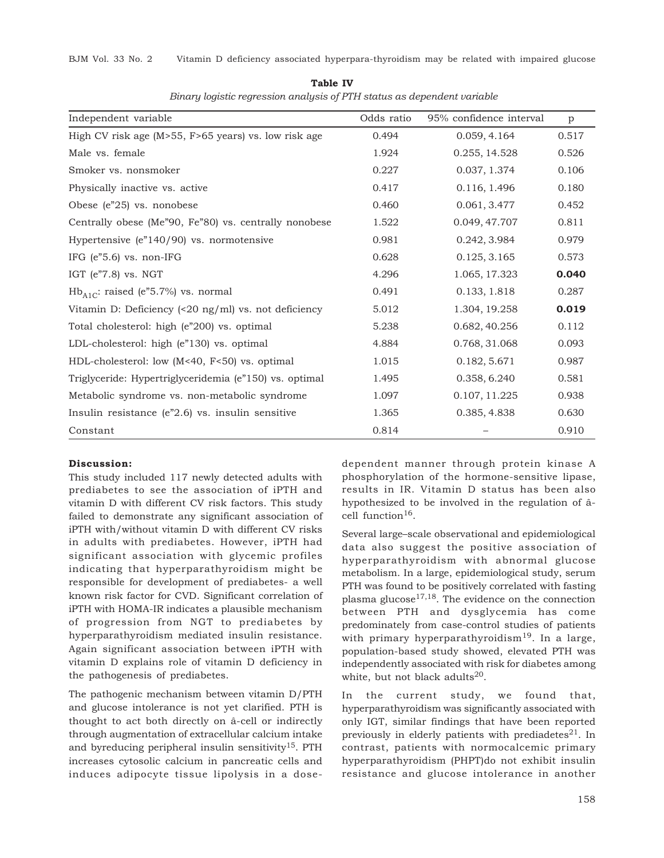| Independent variable                                                  | Odds ratio | 95% confidence interval | p     |
|-----------------------------------------------------------------------|------------|-------------------------|-------|
| High CV risk age ( $M>55$ , $F>65$ years) vs. low risk age            | 0.494      | 0.059, 4.164            | 0.517 |
| Male vs. female                                                       | 1.924      | 0.255, 14.528           | 0.526 |
| Smoker vs. nonsmoker                                                  | 0.227      | 0.037, 1.374            | 0.106 |
| Physically inactive vs. active                                        | 0.417      | 0.116, 1.496            | 0.180 |
| Obese (e"25) vs. nonobese                                             | 0.460      | 0.061, 3.477            | 0.452 |
| Centrally obese (Me"90, Fe"80) vs. centrally nonobese                 | 1.522      | 0.049, 47.707           | 0.811 |
| Hypertensive $(en140/90)$ vs. normotensive                            | 0.981      | 0.242, 3.984            | 0.979 |
| IFG (e"5.6) vs. non-IFG                                               | 0.628      | 0.125, 3.165            | 0.573 |
| IGT $(e"7.8)$ vs. NGT                                                 | 4.296      | 1.065, 17.323           | 0.040 |
| $Hb_{A1C}$ : raised (e"5.7%) vs. normal                               | 0.491      | 0.133, 1.818            | 0.287 |
| Vitamin D: Deficiency $\left($ <20 ng/ml $\right)$ vs. not deficiency | 5.012      | 1.304, 19.258           | 0.019 |
| Total cholesterol: high (e"200) vs. optimal                           | 5.238      | 0.682, 40.256           | 0.112 |
| LDL-cholesterol: high (e"130) vs. optimal                             | 4.884      | 0.768, 31.068           | 0.093 |
| HDL-cholesterol: low (M<40, F<50) vs. optimal                         | 1.015      | 0.182, 5.671            | 0.987 |
| Triglyceride: Hypertriglyceridemia (e"150) vs. optimal                | 1.495      | 0.358, 6.240            | 0.581 |
| Metabolic syndrome vs. non-metabolic syndrome                         | 1.097      | 0.107, 11.225           | 0.938 |
| Insulin resistance $(en2.6)$ vs. insulin sensitive                    | 1.365      | 0.385, 4.838            | 0.630 |
| Constant                                                              | 0.814      |                         | 0.910 |

**Table IV**  *Binary logistic regression analysis of PTH status as dependent variable*

## **Discussion:**

This study included 117 newly detected adults with prediabetes to see the association of iPTH and vitamin D with different CV risk factors. This study failed to demonstrate any significant association of iPTH with/without vitamin D with different CV risks in adults with prediabetes. However, iPTH had significant association with glycemic profiles indicating that hyperparathyroidism might be responsible for development of prediabetes- a well known risk factor for CVD. Significant correlation of iPTH with HOMA-IR indicates a plausible mechanism of progression from NGT to prediabetes by hyperparathyroidism mediated insulin resistance. Again significant association between iPTH with vitamin D explains role of vitamin D deficiency in the pathogenesis of prediabetes.

The pathogenic mechanism between vitamin D/PTH and glucose intolerance is not yet clarified. PTH is thought to act both directly on â-cell or indirectly through augmentation of extracellular calcium intake and byreducing peripheral insulin sensitivity<sup>15</sup>. PTH increases cytosolic calcium in pancreatic cells and induces adipocyte tissue lipolysis in a dosedependent manner through protein kinase A phosphorylation of the hormone-sensitive lipase, results in IR. Vitamin D status has been also hypothesized to be involved in the regulation of âcell function<sup>16</sup>.

Several large–scale observational and epidemiological data also suggest the positive association of hyperparathyroidism with abnormal glucose metabolism. In a large, epidemiological study, serum PTH was found to be positively correlated with fasting plasma glucose<sup>17,18</sup>. The evidence on the connection between PTH and dysglycemia has come predominately from case-control studies of patients with primary hyperparathyroidism<sup>19</sup>. In a large, population-based study showed, elevated PTH was independently associated with risk for diabetes among white, but not black adults $^{20}$ .

In the current study, we found that, hyperparathyroidism was significantly associated with only IGT, similar findings that have been reported previously in elderly patients with prediadetes $^{21}$ . In contrast, patients with normocalcemic primary hyperparathyroidism (PHPT)do not exhibit insulin resistance and glucose intolerance in another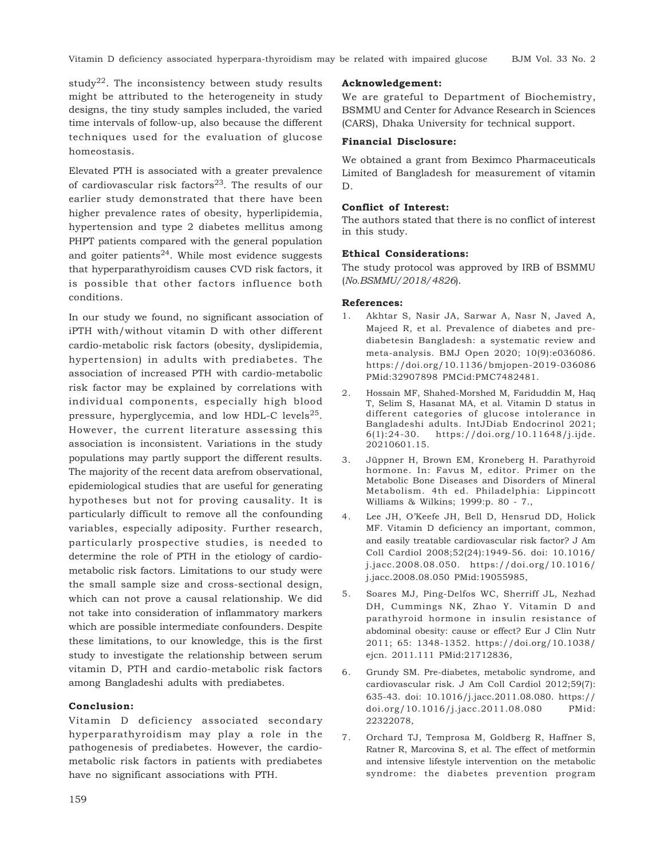study<sup>22</sup>. The inconsistency between study results might be attributed to the heterogeneity in study designs, the tiny study samples included, the varied time intervals of follow-up, also because the different techniques used for the evaluation of glucose homeostasis.

Elevated PTH is associated with a greater prevalence of cardiovascular risk factors $^{23}$ . The results of our earlier study demonstrated that there have been higher prevalence rates of obesity, hyperlipidemia, hypertension and type 2 diabetes mellitus among PHPT patients compared with the general population and goiter patients $24$ . While most evidence suggests that hyperparathyroidism causes CVD risk factors, it is possible that other factors influence both conditions.

In our study we found, no significant association of iPTH with/without vitamin D with other different cardio-metabolic risk factors (obesity, dyslipidemia, hypertension) in adults with prediabetes. The association of increased PTH with cardio-metabolic risk factor may be explained by correlations with individual components, especially high blood pressure, hyperglycemia, and low HDL-C levels $^{25}$ . However, the current literature assessing this association is inconsistent. Variations in the study populations may partly support the different results. The majority of the recent data arefrom observational, epidemiological studies that are useful for generating hypotheses but not for proving causality. It is particularly difficult to remove all the confounding variables, especially adiposity. Further research, particularly prospective studies, is needed to determine the role of PTH in the etiology of cardiometabolic risk factors. Limitations to our study were the small sample size and cross-sectional design, which can not prove a causal relationship. We did not take into consideration of inflammatory markers which are possible intermediate confounders. Despite these limitations, to our knowledge, this is the first study to investigate the relationship between serum vitamin D, PTH and cardio-metabolic risk factors among Bangladeshi adults with prediabetes.

## **Conclusion:**

Vitamin D deficiency associated secondary hyperparathyroidism may play a role in the pathogenesis of prediabetes. However, the cardiometabolic risk factors in patients with prediabetes have no significant associations with PTH.

## **Acknowledgement:**

We are grateful to Department of Biochemistry, BSMMU and Center for Advance Research in Sciences (CARS), Dhaka University for technical support.

## **Financial Disclosure:**

We obtained a grant from Beximco Pharmaceuticals Limited of Bangladesh for measurement of vitamin D.

## **Conflict of Interest:**

The authors stated that there is no conflict of interest in this study.

#### **Ethical Considerations:**

The study protocol was approved by IRB of BSMMU (*No.BSMMU/2018/4826*).

#### **References:**

- 1. Akhtar S, Nasir JA, Sarwar A, Nasr N, Javed A, Majeed R, et al. Prevalence of diabetes and prediabetesin Bangladesh: a systematic review and meta-analysis. BMJ Open 2020; 10(9):e036086. https://doi.org/10.1136/bmjopen-2019-036086 PMid:32907898 PMCid:PMC7482481.
- 2. Hossain MF, Shahed-Morshed M, Fariduddin M, Haq T, Selim S, Hasanat MA, et al. Vitamin D status in different categories of glucose intolerance in Bangladeshi adults. IntJDiab Endocrinol 2021;<br>6(1):24-30. https://doi.org/10.11648/j.ijde. 6(1):24-30. https://doi.org/10.11648/j.ijde. 20210601.15.
- 3. Jüppner H, Brown EM, Kroneberg H. Parathyroid hormone. In: Favus M, editor. Primer on the Metabolic Bone Diseases and Disorders of Mineral Metabolism. 4th ed. Philadelphia: Lippincott Williams & Wilkins; 1999:p. 80 - 7.,
- 4. Lee JH, O'Keefe JH, Bell D, Hensrud DD, Holick MF. Vitamin D deficiency an important, common, and easily treatable cardiovascular risk factor? J Am Coll Cardiol 2008;52(24):1949-56. doi: 10.1016/ j.jacc.2008.08.050. https://doi.org/10.1016/ j.jacc.2008.08.050 PMid:19055985,
- 5. Soares MJ, Ping-Delfos WC, Sherriff JL, Nezhad DH, Cummings NK, Zhao Y. Vitamin D and parathyroid hormone in insulin resistance of abdominal obesity: cause or effect? Eur J Clin Nutr 2011; 65: 1348-1352. https://doi.org/10.1038/ ejcn. 2011.111 PMid:21712836,
- 6. Grundy SM. Pre-diabetes, metabolic syndrome, and cardiovascular risk. J Am Coll Cardiol 2012;59(7): 635-43. doi: 10.1016/j.jacc.2011.08.080. https:// doi.org/10.1016/j.jacc.2011.08.080 PMid: 22322078,
- 7. Orchard TJ, Temprosa M, Goldberg R, Haffner S, Ratner R, Marcovina S, et al. The effect of metformin and intensive lifestyle intervention on the metabolic syndrome: the diabetes prevention program